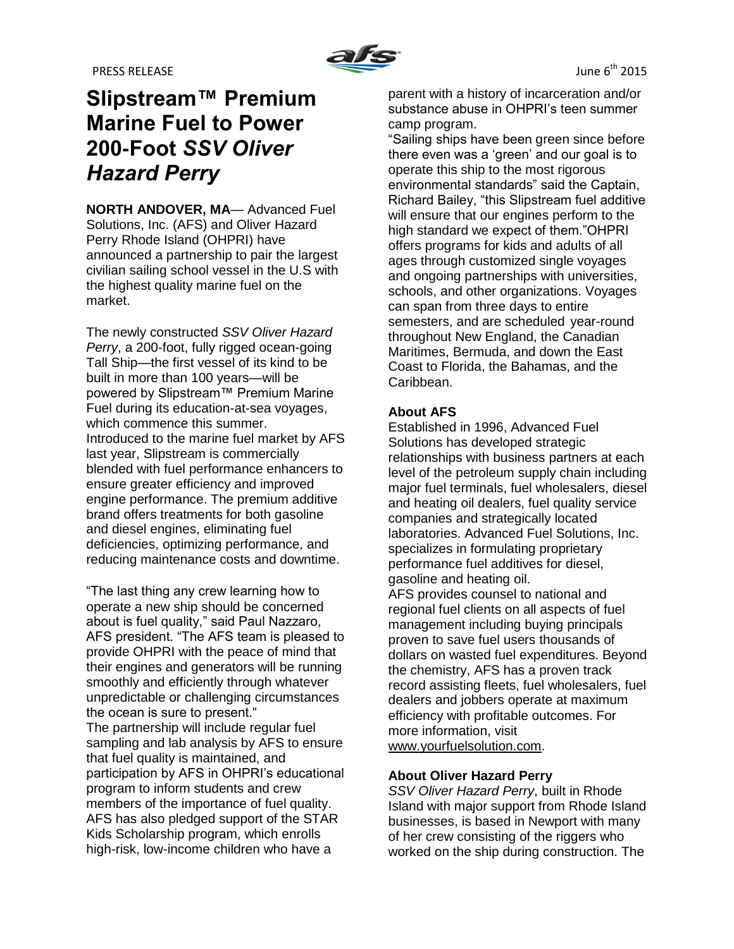# **Slipstream™ Premium Marine Fuel to Power 200-Foot** *SSV Oliver Hazard Perry*

**NORTH ANDOVER, MA**— Advanced Fuel Solutions, Inc. (AFS) and Oliver Hazard Perry Rhode Island (OHPRI) have announced a partnership to pair the largest civilian sailing school vessel in the U.S with the highest quality marine fuel on the market.

The newly constructed *SSV Oliver Hazard Perry*, a 200-foot, fully rigged ocean-going Tall Ship—the first vessel of its kind to be built in more than 100 years—will be powered by Slipstream™ Premium Marine Fuel during its education-at-sea voyages, which commence this summer. Introduced to the marine fuel market by AFS last year, Slipstream is commercially blended with fuel performance enhancers to ensure greater efficiency and improved engine performance. The premium additive brand offers treatments for both gasoline and diesel engines, eliminating fuel deficiencies, optimizing performance, and reducing maintenance costs and downtime.

"The last thing any crew learning how to operate a new ship should be concerned about is fuel quality," said Paul Nazzaro, AFS president. "The AFS team is pleased to provide OHPRI with the peace of mind that their engines and generators will be running smoothly and efficiently through whatever unpredictable or challenging circumstances the ocean is sure to present." The partnership will include regular fuel sampling and lab analysis by AFS to ensure that fuel quality is maintained, and participation by AFS in OHPRI's educational program to inform students and crew members of the importance of fuel quality. AFS has also pledged support of the STAR Kids Scholarship program, which enrolls high-risk, low-income children who have a

parent with a history of incarceration and/or substance abuse in OHPRI's teen summer camp program.

"Sailing ships have been green since before there even was a 'green' and our goal is to operate this ship to the most rigorous environmental standards" said the Captain, Richard Bailey, "this Slipstream fuel additive will ensure that our engines perform to the high standard we expect of them."OHPRI offers programs for kids and adults of all ages through customized single voyages and ongoing partnerships with universities, schools, and other organizations. Voyages can span from three days to entire semesters, and are scheduled year-round throughout New England, the Canadian Maritimes, Bermuda, and down the East Coast to Florida, the Bahamas, and the Caribbean.

# **About AFS**

Established in 1996, Advanced Fuel Solutions has developed strategic relationships with business partners at each level of the petroleum supply chain including major fuel terminals, fuel wholesalers, diesel and heating oil dealers, fuel quality service companies and strategically located laboratories. Advanced Fuel Solutions, Inc. specializes in formulating proprietary performance fuel additives for diesel, gasoline and heating oil.

AFS provides counsel to national and regional fuel clients on all aspects of fuel management including buying principals proven to save fuel users thousands of dollars on wasted fuel expenditures. Beyond the chemistry, AFS has a proven track record assisting fleets, fuel wholesalers, fuel dealers and jobbers operate at maximum efficiency with profitable outcomes. For more information, visit [www.yourfuelsolution.com.](http://www.yourfuelsolution.com/)

# **About Oliver Hazard Perry**

*SSV Oliver Hazard Perry*, built in Rhode Island with major support from Rhode Island businesses, is based in Newport with many of her crew consisting of the riggers who worked on the ship during construction. The